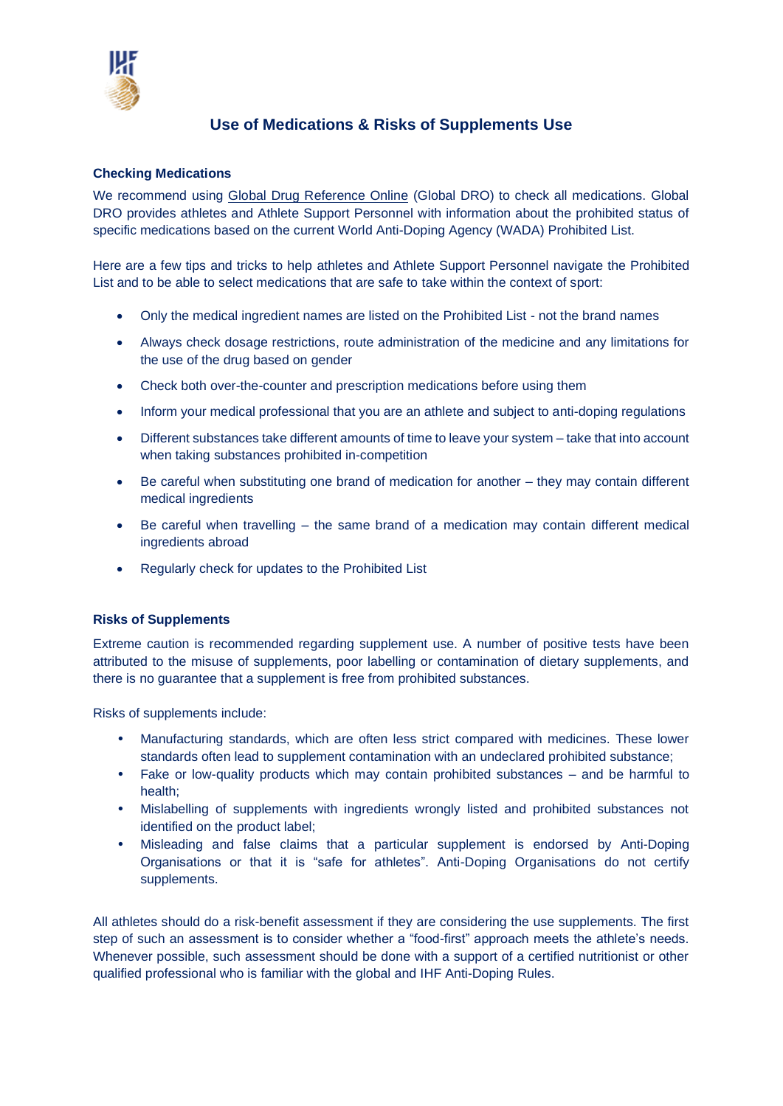

## **Use of Medications & Risks of Supplements Use**

## **Checking Medications**

We recommend using [Global Drug Reference Online](https://globaldro.com/Home) (Global DRO) to check all medications. Global DRO provides athletes and Athlete Support Personnel with information about the prohibited status of specific medications based on the current World Anti-Doping Agency (WADA) Prohibited List.

Here are a few tips and tricks to help athletes and Athlete Support Personnel navigate the Prohibited List and to be able to select medications that are safe to take within the context of sport:

- Only the medical ingredient names are listed on the Prohibited List not the brand names
- Always check dosage restrictions, route administration of the medicine and any limitations for the use of the drug based on gender
- Check both over-the-counter and prescription medications before using them
- Inform your medical professional that you are an athlete and subject to anti-doping regulations
- Different substances take different amounts of time to leave your system take that into account when taking substances prohibited in-competition
- Be careful when substituting one brand of medication for another they may contain different medical ingredients
- Be careful when travelling the same brand of a medication may contain different medical ingredients abroad
- Regularly check for updates to the Prohibited List

## **Risks of Supplements**

Extreme caution is recommended regarding supplement use. A number of positive tests have been attributed to the misuse of supplements, poor labelling or contamination of dietary supplements, and there is no guarantee that a supplement is free from prohibited substances.

Risks of supplements include:

- Manufacturing standards, which are often less strict compared with medicines. These lower standards often lead to supplement contamination with an undeclared prohibited substance;
- Fake or low-quality products which may contain prohibited substances and be harmful to health;
- Mislabelling of supplements with ingredients wrongly listed and prohibited substances not identified on the product label;
- Misleading and false claims that a particular supplement is endorsed by Anti-Doping Organisations or that it is "safe for athletes". Anti-Doping Organisations do not certify supplements.

All athletes should do a risk-benefit assessment if they are considering the use supplements. The first step of such an assessment is to consider whether a "food-first" approach meets the athlete's needs. Whenever possible, such assessment should be done with a support of a certified nutritionist or other qualified professional who is familiar with the global and IHF Anti-Doping Rules.